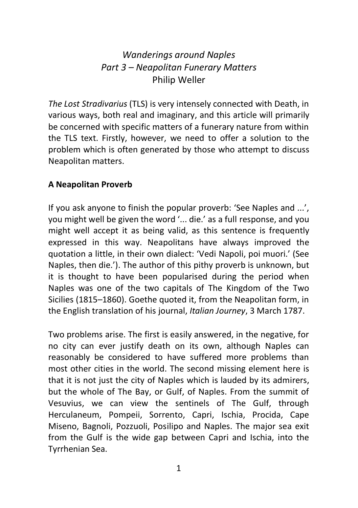# *Wanderings around Naples Part 3 – Neapolitan Funerary Matters* Philip Weller

*The Lost Stradivarius* (TLS) is very intensely connected with Death, in various ways, both real and imaginary, and this article will primarily be concerned with specific matters of a funerary nature from within the TLS text. Firstly, however, we need to offer a solution to the problem which is often generated by those who attempt to discuss Neapolitan matters.

### **A Neapolitan Proverb**

If you ask anyone to finish the popular proverb: 'See Naples and ...', you might well be given the word '... die.' as a full response, and you might well accept it as being valid, as this sentence is frequently expressed in this way. Neapolitans have always improved the quotation a little, in their own dialect: 'Vedi Napoli, poi muori.' (See Naples, then die.'). The author of this pithy proverb is unknown, but it is thought to have been popularised during the period when Naples was one of the two capitals of The Kingdom of the Two Sicilies (1815–1860). Goethe quoted it, from the Neapolitan form, in the English translation of his journal, *Italian Journey*, 3 March 1787.

Two problems arise. The first is easily answered, in the negative, for no city can ever justify death on its own, although Naples can reasonably be considered to have suffered more problems than most other cities in the world. The second missing element here is that it is not just the city of Naples which is lauded by its admirers, but the whole of The Bay, or Gulf, of Naples. From the summit of Vesuvius, we can view the sentinels of The Gulf, through Herculaneum, Pompeii, Sorrento, Capri, Ischia, Procida, Cape Miseno, Bagnoli, Pozzuoli, Posilipo and Naples. The major sea exit from the Gulf is the wide gap between Capri and Ischia, into the Tyrrhenian Sea.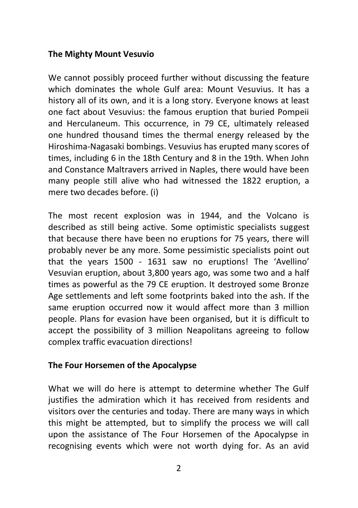### **The Mighty Mount Vesuvio**

We cannot possibly proceed further without discussing the feature which dominates the whole Gulf area: Mount Vesuvius. It has a history all of its own, and it is a long story. Everyone knows at least one fact about Vesuvius: the famous eruption that buried Pompeii and Herculaneum. This occurrence, in 79 CE, ultimately released one hundred thousand times the thermal energy released by the Hiroshima-Nagasaki bombings. Vesuvius has erupted many scores of times, including 6 in the 18th Century and 8 in the 19th. When John and Constance Maltravers arrived in Naples, there would have been many people still alive who had witnessed the 1822 eruption, a mere two decades before. (i)

The most recent explosion was in 1944, and the Volcano is described as still being active. Some optimistic specialists suggest that because there have been no eruptions for 75 years, there will probably never be any more. Some pessimistic specialists point out that the years 1500 - 1631 saw no eruptions! The 'Avellino' Vesuvian eruption, about 3,800 years ago, was some two and a half times as powerful as the 79 CE eruption. It destroyed some Bronze Age settlements and left some footprints baked into the ash. If the same eruption occurred now it would affect more than 3 million people. Plans for evasion have been organised, but it is difficult to accept the possibility of 3 million Neapolitans agreeing to follow complex traffic evacuation directions!

### **The Four Horsemen of the Apocalypse**

What we will do here is attempt to determine whether The Gulf justifies the admiration which it has received from residents and visitors over the centuries and today. There are many ways in which this might be attempted, but to simplify the process we will call upon the assistance of The Four Horsemen of the Apocalypse in recognising events which were not worth dying for. As an avid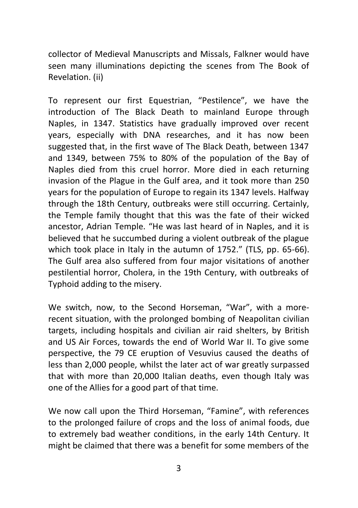collector of Medieval Manuscripts and Missals, Falkner would have seen many illuminations depicting the scenes from The Book of Revelation. (ii)

To represent our first Equestrian, "Pestilence", we have the introduction of The Black Death to mainland Europe through Naples, in 1347. Statistics have gradually improved over recent years, especially with DNA researches, and it has now been suggested that, in the first wave of The Black Death, between 1347 and 1349, between 75% to 80% of the population of the Bay of Naples died from this cruel horror. More died in each returning invasion of the Plague in the Gulf area, and it took more than 250 years for the population of Europe to regain its 1347 levels. Halfway through the 18th Century, outbreaks were still occurring. Certainly, the Temple family thought that this was the fate of their wicked ancestor, Adrian Temple. "He was last heard of in Naples, and it is believed that he succumbed during a violent outbreak of the plague which took place in Italy in the autumn of 1752." (TLS, pp. 65-66). The Gulf area also suffered from four major visitations of another pestilential horror, Cholera, in the 19th Century, with outbreaks of Typhoid adding to the misery.

We switch, now, to the Second Horseman, "War", with a morerecent situation, with the prolonged bombing of Neapolitan civilian targets, including hospitals and civilian air raid shelters, by British and US Air Forces, towards the end of World War II. To give some perspective, the 79 CE eruption of Vesuvius caused the deaths of less than 2,000 people, whilst the later act of war greatly surpassed that with more than 20,000 Italian deaths, even though Italy was one of the Allies for a good part of that time.

We now call upon the Third Horseman, "Famine", with references to the prolonged failure of crops and the loss of animal foods, due to extremely bad weather conditions, in the early 14th Century. It might be claimed that there was a benefit for some members of the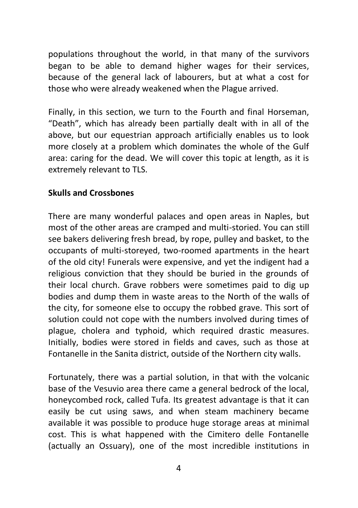populations throughout the world, in that many of the survivors began to be able to demand higher wages for their services, because of the general lack of labourers, but at what a cost for those who were already weakened when the Plague arrived.

Finally, in this section, we turn to the Fourth and final Horseman, "Death", which has already been partially dealt with in all of the above, but our equestrian approach artificially enables us to look more closely at a problem which dominates the whole of the Gulf area: caring for the dead. We will cover this topic at length, as it is extremely relevant to TLS.

### **Skulls and Crossbones**

There are many wonderful palaces and open areas in Naples, but most of the other areas are cramped and multi-storied. You can still see bakers delivering fresh bread, by rope, pulley and basket, to the occupants of multi-storeyed, two-roomed apartments in the heart of the old city! Funerals were expensive, and yet the indigent had a religious conviction that they should be buried in the grounds of their local church. Grave robbers were sometimes paid to dig up bodies and dump them in waste areas to the North of the walls of the city, for someone else to occupy the robbed grave. This sort of solution could not cope with the numbers involved during times of plague, cholera and typhoid, which required drastic measures. Initially, bodies were stored in fields and caves, such as those at Fontanelle in the Sanita district, outside of the Northern city walls.

Fortunately, there was a partial solution, in that with the volcanic base of the Vesuvio area there came a general bedrock of the local, honeycombed rock, called Tufa. Its greatest advantage is that it can easily be cut using saws, and when steam machinery became available it was possible to produce huge storage areas at minimal cost. This is what happened with the Cimitero delle Fontanelle (actually an Ossuary), one of the most incredible institutions in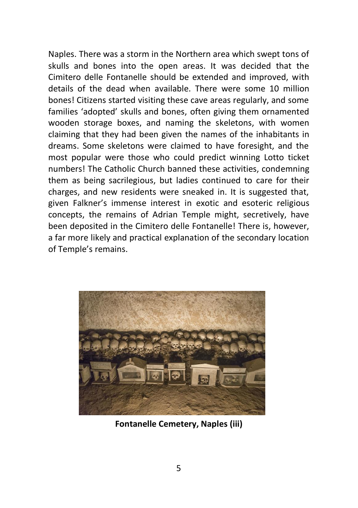Naples. There was a storm in the Northern area which swept tons of skulls and bones into the open areas. It was decided that the Cimitero delle Fontanelle should be extended and improved, with details of the dead when available. There were some 10 million bones! Citizens started visiting these cave areas regularly, and some families 'adopted' skulls and bones, often giving them ornamented wooden storage boxes, and naming the skeletons, with women claiming that they had been given the names of the inhabitants in dreams. Some skeletons were claimed to have foresight, and the most popular were those who could predict winning Lotto ticket numbers! The Catholic Church banned these activities, condemning them as being sacrilegious, but ladies continued to care for their charges, and new residents were sneaked in. It is suggested that, given Falkner's immense interest in exotic and esoteric religious concepts, the remains of Adrian Temple might, secretively, have been deposited in the Cimitero delle Fontanelle! There is, however, a far more likely and practical explanation of the secondary location of Temple's remains.



**Fontanelle Cemetery, Naples (iii)**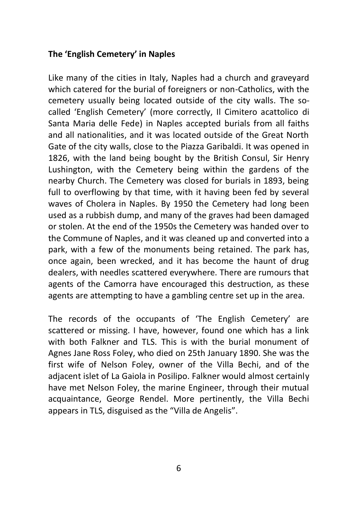### **The 'English Cemetery' in Naples**

Like many of the cities in Italy, Naples had a church and graveyard which catered for the burial of foreigners or non-Catholics, with the cemetery usually being located outside of the city walls. The socalled 'English Cemetery' (more correctly, Il Cimitero acattolico di Santa Maria delle Fede) in Naples accepted burials from all faiths and all nationalities, and it was located outside of the Great North Gate of the city walls, close to the Piazza Garibaldi. It was opened in 1826, with the land being bought by the British Consul, Sir Henry Lushington, with the Cemetery being within the gardens of the nearby Church. The Cemetery was closed for burials in 1893, being full to overflowing by that time, with it having been fed by several waves of Cholera in Naples. By 1950 the Cemetery had long been used as a rubbish dump, and many of the graves had been damaged or stolen. At the end of the 1950s the Cemetery was handed over to the Commune of Naples, and it was cleaned up and converted into a park, with a few of the monuments being retained. The park has, once again, been wrecked, and it has become the haunt of drug dealers, with needles scattered everywhere. There are rumours that agents of the Camorra have encouraged this destruction, as these agents are attempting to have a gambling centre set up in the area.

The records of the occupants of 'The English Cemetery' are scattered or missing. I have, however, found one which has a link with both Falkner and TLS. This is with the burial monument of Agnes Jane Ross Foley, who died on 25th January 1890. She was the first wife of Nelson Foley, owner of the Villa Bechi, and of the adjacent islet of La Gaiola in Posilipo. Falkner would almost certainly have met Nelson Foley, the marine Engineer, through their mutual acquaintance, George Rendel. More pertinently, the Villa Bechi appears in TLS, disguised as the "Villa de Angelis".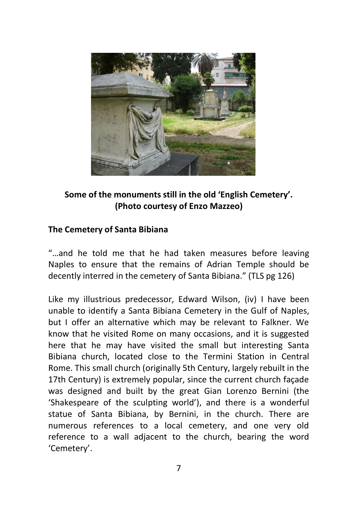

# **Some of the monuments still in the old 'English Cemetery'. (Photo courtesy of Enzo Mazzeo)**

# **The Cemetery of Santa Bibiana**

"…and he told me that he had taken measures before leaving Naples to ensure that the remains of Adrian Temple should be decently interred in the cemetery of Santa Bibiana." (TLS pg 126)

Like my illustrious predecessor, Edward Wilson, (iv) I have been unable to identify a Santa Bibiana Cemetery in the Gulf of Naples, but I offer an alternative which may be relevant to Falkner. We know that he visited Rome on many occasions, and it is suggested here that he may have visited the small but interesting Santa Bibiana church, located close to the Termini Station in Central Rome. This small church (originally 5th Century, largely rebuilt in the 17th Century) is extremely popular, since the current church façade was designed and built by the great Gian Lorenzo Bernini (the 'Shakespeare of the sculpting world'), and there is a wonderful statue of Santa Bibiana, by Bernini, in the church. There are numerous references to a local cemetery, and one very old reference to a wall adjacent to the church, bearing the word 'Cemetery'.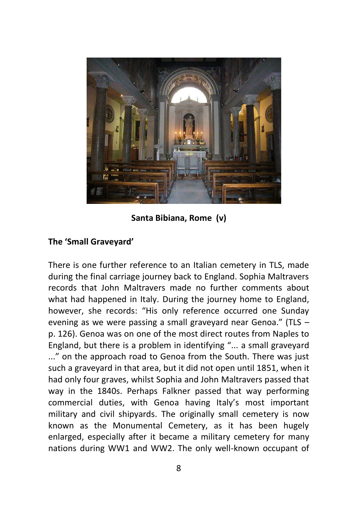

**Santa Bibiana, Rome (v)**

### **The 'Small Graveyard'**

There is one further reference to an Italian cemetery in TLS, made during the final carriage journey back to England. Sophia Maltravers records that John Maltravers made no further comments about what had happened in Italy. During the journey home to England, however, she records: "His only reference occurred one Sunday evening as we were passing a small graveyard near Genoa." (TLS – p. 126). Genoa was on one of the most direct routes from Naples to England, but there is a problem in identifying "... a small graveyard ..." on the approach road to Genoa from the South. There was just such a graveyard in that area, but it did not open until 1851, when it had only four graves, whilst Sophia and John Maltravers passed that way in the 1840s. Perhaps Falkner passed that way performing commercial duties, with Genoa having Italy's most important military and civil shipyards. The originally small cemetery is now known as the Monumental Cemetery, as it has been hugely enlarged, especially after it became a military cemetery for many nations during WW1 and WW2. The only well-known occupant of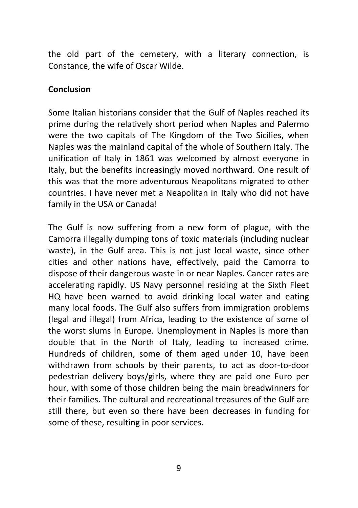the old part of the cemetery, with a literary connection, is Constance, the wife of Oscar Wilde.

### **Conclusion**

Some Italian historians consider that the Gulf of Naples reached its prime during the relatively short period when Naples and Palermo were the two capitals of The Kingdom of the Two Sicilies, when Naples was the mainland capital of the whole of Southern Italy. The unification of Italy in 1861 was welcomed by almost everyone in Italy, but the benefits increasingly moved northward. One result of this was that the more adventurous Neapolitans migrated to other countries. I have never met a Neapolitan in Italy who did not have family in the USA or Canada!

The Gulf is now suffering from a new form of plague, with the Camorra illegally dumping tons of toxic materials (including nuclear waste), in the Gulf area. This is not just local waste, since other cities and other nations have, effectively, paid the Camorra to dispose of their dangerous waste in or near Naples. Cancer rates are accelerating rapidly. US Navy personnel residing at the Sixth Fleet HQ have been warned to avoid drinking local water and eating many local foods. The Gulf also suffers from immigration problems (legal and illegal) from Africa, leading to the existence of some of the worst slums in Europe. Unemployment in Naples is more than double that in the North of Italy, leading to increased crime. Hundreds of children, some of them aged under 10, have been withdrawn from schools by their parents, to act as door-to-door pedestrian delivery boys/girls, where they are paid one Euro per hour, with some of those children being the main breadwinners for their families. The cultural and recreational treasures of the Gulf are still there, but even so there have been decreases in funding for some of these, resulting in poor services.